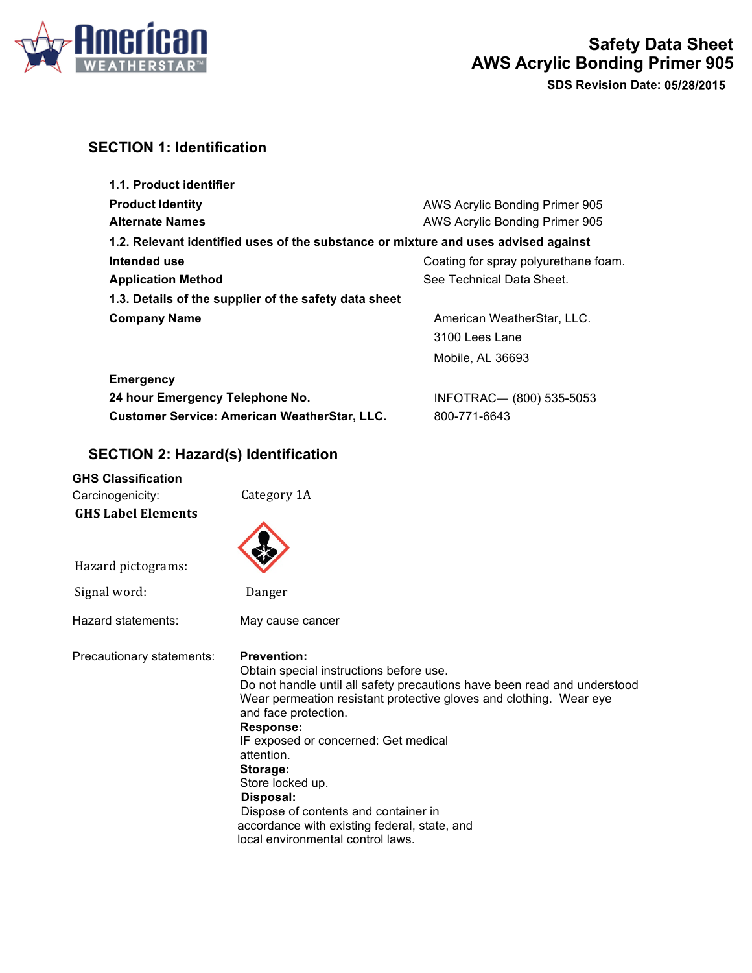

# **SECTION 1: Identification**

| 1.1. Product identifier                                                            |                                      |
|------------------------------------------------------------------------------------|--------------------------------------|
| <b>Product Identity</b>                                                            | AWS Acrylic Bonding Primer 905       |
| <b>Alternate Names</b>                                                             | AWS Acrylic Bonding Primer 905       |
| 1.2. Relevant identified uses of the substance or mixture and uses advised against |                                      |
| Intended use                                                                       | Coating for spray polyurethane foam. |
| <b>Application Method</b>                                                          | See Technical Data Sheet.            |
| 1.3. Details of the supplier of the safety data sheet                              |                                      |
| <b>Company Name</b>                                                                | American WeatherStar, LLC.           |
|                                                                                    | 3100 Lees Lane                       |
|                                                                                    | Mobile, AL 36693                     |

| <b>Emergency</b>                                    |                         |
|-----------------------------------------------------|-------------------------|
| 24 hour Emergency Telephone No.                     | INFOTRAC-(800) 535-5053 |
| <b>Customer Service: American WeatherStar, LLC.</b> | 800-771-6643            |

# **SECTION 2: Hazard(s) Identification**

| <b>GHS Classification</b> |                                                                                                                                                                                                                                                                                                                                                                                                                                                                                             |
|---------------------------|---------------------------------------------------------------------------------------------------------------------------------------------------------------------------------------------------------------------------------------------------------------------------------------------------------------------------------------------------------------------------------------------------------------------------------------------------------------------------------------------|
| Carcinogenicity:          | Category 1A                                                                                                                                                                                                                                                                                                                                                                                                                                                                                 |
| <b>GHS Label Elements</b> |                                                                                                                                                                                                                                                                                                                                                                                                                                                                                             |
| Hazard pictograms:        |                                                                                                                                                                                                                                                                                                                                                                                                                                                                                             |
| Signal word:              | Danger                                                                                                                                                                                                                                                                                                                                                                                                                                                                                      |
| Hazard statements:        | May cause cancer                                                                                                                                                                                                                                                                                                                                                                                                                                                                            |
| Precautionary statements: | <b>Prevention:</b><br>Obtain special instructions before use.<br>Do not handle until all safety precautions have been read and understood<br>Wear permeation resistant protective gloves and clothing. Wear eye<br>and face protection.<br><b>Response:</b><br>IF exposed or concerned: Get medical<br>attention.<br>Storage:<br>Store locked up.<br>Disposal:<br>Dispose of contents and container in<br>accordance with existing federal, state, and<br>local environmental control laws. |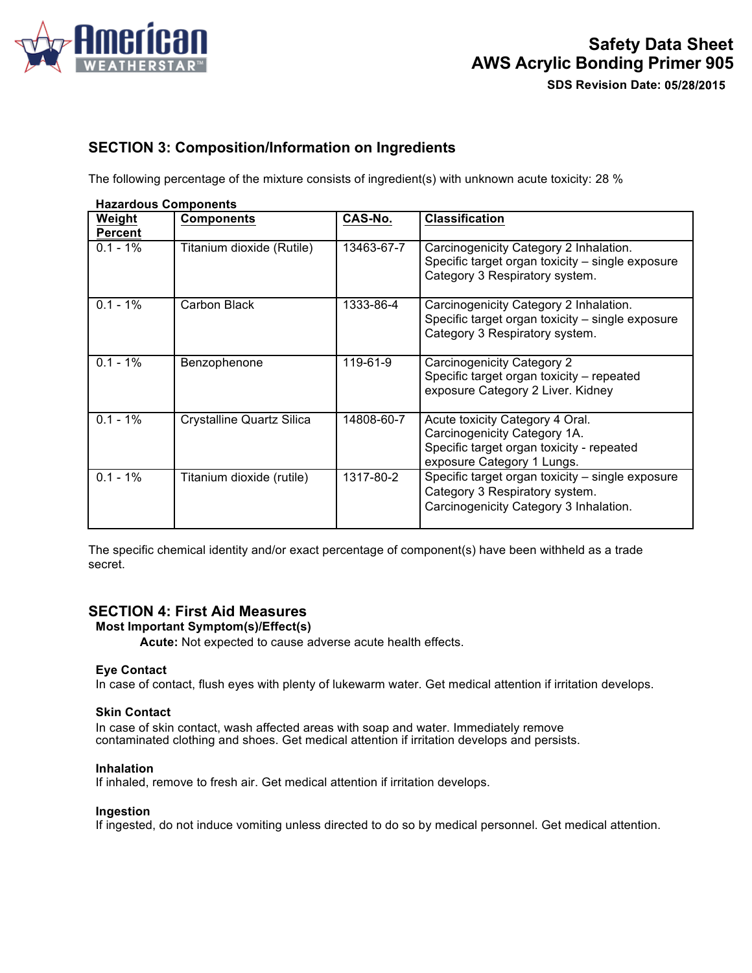

# **SECTION 3: Composition/Information on Ingredients**

The following percentage of the mixture consists of ingredient(s) with unknown acute toxicity: 28 %

| <b>Hazardous Components</b> |                                  |            |                                                                                                                                            |
|-----------------------------|----------------------------------|------------|--------------------------------------------------------------------------------------------------------------------------------------------|
| Weight                      | <b>Components</b>                | CAS-No.    | <b>Classification</b>                                                                                                                      |
| <b>Percent</b>              |                                  |            |                                                                                                                                            |
| $0.1 - 1\%$                 | Titanium dioxide (Rutile)        | 13463-67-7 | Carcinogenicity Category 2 Inhalation.<br>Specific target organ toxicity - single exposure<br>Category 3 Respiratory system.               |
| $0.1 - 1\%$                 | Carbon Black                     | 1333-86-4  | Carcinogenicity Category 2 Inhalation.<br>Specific target organ toxicity - single exposure<br>Category 3 Respiratory system.               |
| $0.1 - 1\%$                 | Benzophenone                     | 119-61-9   | Carcinogenicity Category 2<br>Specific target organ toxicity – repeated<br>exposure Category 2 Liver. Kidney                               |
| $0.1 - 1\%$                 | <b>Crystalline Quartz Silica</b> | 14808-60-7 | Acute toxicity Category 4 Oral.<br>Carcinogenicity Category 1A.<br>Specific target organ toxicity - repeated<br>exposure Category 1 Lungs. |
| $0.1 - 1\%$                 | Titanium dioxide (rutile)        | 1317-80-2  | Specific target organ toxicity - single exposure<br>Category 3 Respiratory system.<br>Carcinogenicity Category 3 Inhalation.               |

**Hazardous Components** 

The specific chemical identity and/or exact percentage of component(s) have been withheld as a trade secret.

# **SECTION 4: First Aid Measures**

### **Most Important Symptom(s)/Effect(s)**

**Acute:** Not expected to cause adverse acute health effects.

#### **Eye Contact**

In case of contact, flush eyes with plenty of lukewarm water. Get medical attention if irritation develops.

#### **Skin Contact**

In case of skin contact, wash affected areas with soap and water. Immediately remove contaminated clothing and shoes. Get medical attention if irritation develops and persists.

#### **Inhalation**

If inhaled, remove to fresh air. Get medical attention if irritation develops.

### **Ingestion**

If ingested, do not induce vomiting unless directed to do so by medical personnel. Get medical attention.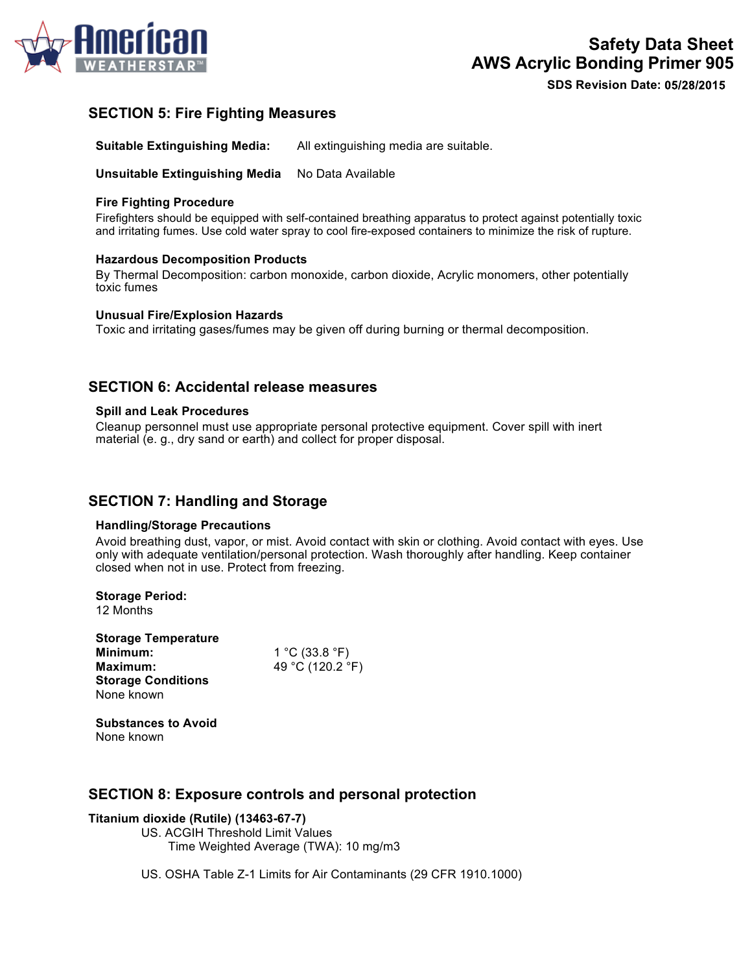

# **SECTION 5: Fire Fighting Measures**

**Suitable Extinguishing Media:** All extinguishing media are suitable.

**Unsuitable Extinguishing Media** No Data Available

#### **Fire Fighting Procedure**

Firefighters should be equipped with self-contained breathing apparatus to protect against potentially toxic and irritating fumes. Use cold water spray to cool fire-exposed containers to minimize the risk of rupture.

#### **Hazardous Decomposition Products**

By Thermal Decomposition: carbon monoxide, carbon dioxide, Acrylic monomers, other potentially toxic fumes

#### **Unusual Fire/Explosion Hazards**

Toxic and irritating gases/fumes may be given off during burning or thermal decomposition.

## **SECTION 6: Accidental release measures**

#### **Spill and Leak Procedures**

Cleanup personnel must use appropriate personal protective equipment. Cover spill with inert material (e. g., dry sand or earth) and collect for proper disposal.

## **SECTION 7: Handling and Storage**

#### **Handling/Storage Precautions**

Avoid breathing dust, vapor, or mist. Avoid contact with skin or clothing. Avoid contact with eyes. Use only with adequate ventilation/personal protection. Wash thoroughly after handling. Keep container closed when not in use. Protect from freezing.

**Storage Period:** 12 Months

**Storage Temperature Minimum:** 1 °C (33.8 °F) **Maximum:** 49 °C (120.2 °F) **Storage Conditions** None known

**Substances to Avoid** None known

## **SECTION 8: Exposure controls and personal protection**

#### **Titanium dioxide (Rutile) (13463-67-7)**

US. ACGIH Threshold Limit Values Time Weighted Average (TWA): 10 mg/m3

US. OSHA Table Z-1 Limits for Air Contaminants (29 CFR 1910.1000)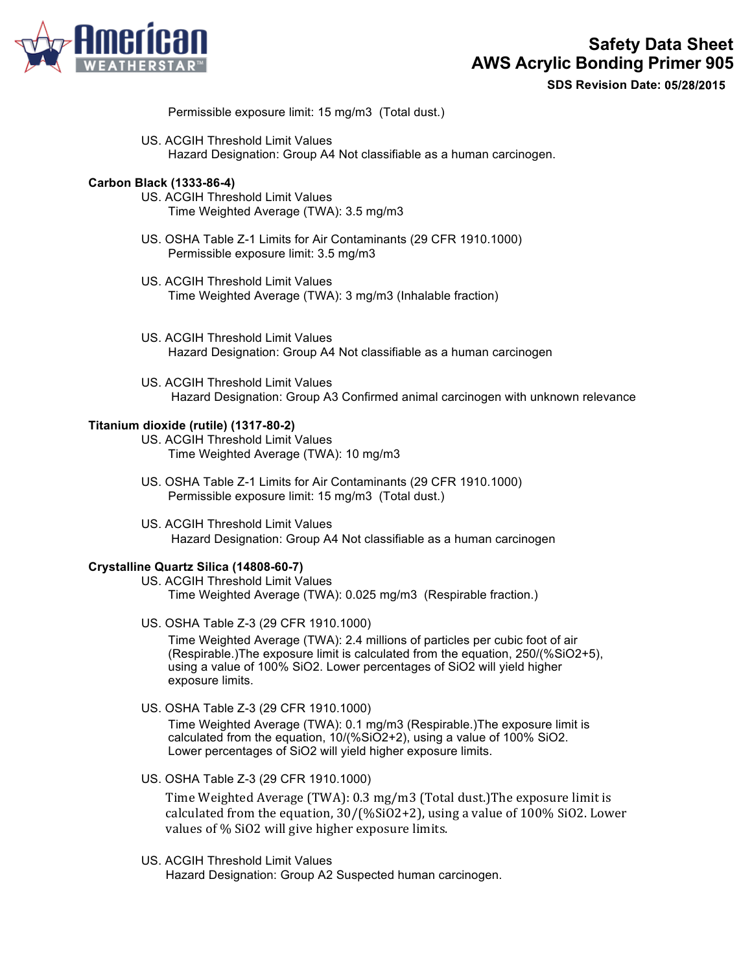

Permissible exposure limit: 15 mg/m3 (Total dust.)

US. ACGIH Threshold Limit Values Hazard Designation: Group A4 Not classifiable as a human carcinogen.

#### **Carbon Black (1333-86-4)**

- US. ACGIH Threshold Limit Values Time Weighted Average (TWA): 3.5 mg/m3
- US. OSHA Table Z-1 Limits for Air Contaminants (29 CFR 1910.1000) Permissible exposure limit: 3.5 mg/m3
- US. ACGIH Threshold Limit Values Time Weighted Average (TWA): 3 mg/m3 (Inhalable fraction)
- US. ACGIH Threshold Limit Values Hazard Designation: Group A4 Not classifiable as a human carcinogen
- US. ACGIH Threshold Limit Values Hazard Designation: Group A3 Confirmed animal carcinogen with unknown relevance

#### **Titanium dioxide (rutile) (1317-80-2)**

- US. ACGIH Threshold Limit Values Time Weighted Average (TWA): 10 mg/m3
- US. OSHA Table Z-1 Limits for Air Contaminants (29 CFR 1910.1000) Permissible exposure limit: 15 mg/m3 (Total dust.)
- US. ACGIH Threshold Limit Values Hazard Designation: Group A4 Not classifiable as a human carcinogen

### **Crystalline Quartz Silica (14808-60-7)**

US. ACGIH Threshold Limit Values Time Weighted Average (TWA): 0.025 mg/m3 (Respirable fraction.)

US. OSHA Table Z-3 (29 CFR 1910.1000)

Time Weighted Average (TWA): 2.4 millions of particles per cubic foot of air (Respirable.)The exposure limit is calculated from the equation, 250/(%SiO2+5), using a value of 100% SiO2. Lower percentages of SiO2 will yield higher exposure limits.

US. OSHA Table Z-3 (29 CFR 1910.1000)

Time Weighted Average (TWA): 0.1 mg/m3 (Respirable.)The exposure limit is calculated from the equation, 10/(%SiO2+2), using a value of 100% SiO2. Lower percentages of SiO2 will yield higher exposure limits.

US. OSHA Table Z-3 (29 CFR 1910.1000)

Time Weighted Average (TWA): 0.3 mg/m3 (Total dust.)The exposure limit is calculated from the equation,  $30/(\%SiO2+2)$ , using a value of  $100\% SiO2$ . Lower values of % SiO2 will give higher exposure limits.

US. ACGIH Threshold Limit Values

Hazard Designation: Group A2 Suspected human carcinogen.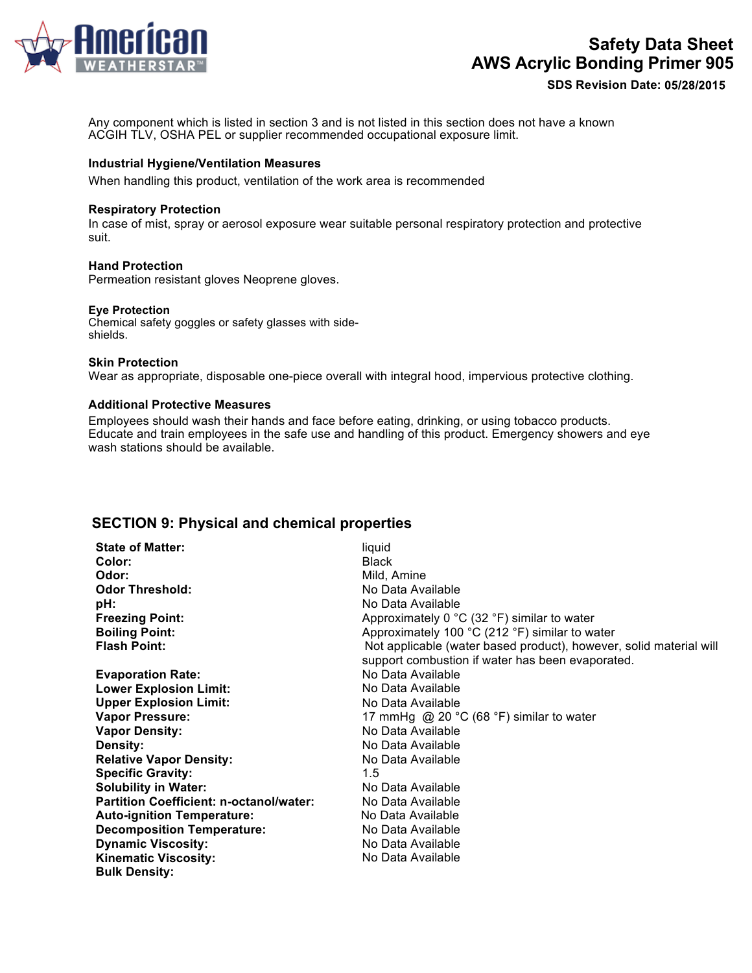

**SDS Revision Date:**

Any component which is listed in section 3 and is not listed in this section does not have a known ACGIH TLV, OSHA PEL or supplier recommended occupational exposure limit.

#### **Industrial Hygiene/Ventilation Measures**

When handling this product, ventilation of the work area is recommended

#### **Respiratory Protection**

In case of mist, spray or aerosol exposure wear suitable personal respiratory protection and protective suit.

#### **Hand Protection**

Permeation resistant gloves Neoprene gloves.

#### **Eye Protection**

Chemical safety goggles or safety glasses with sideshields.

#### **Skin Protection**

Wear as appropriate, disposable one-piece overall with integral hood, impervious protective clothing.

#### **Additional Protective Measures**

Employees should wash their hands and face before eating, drinking, or using tobacco products. Educate and train employees in the safe use and handling of this product. Emergency showers and eye wash stations should be available.

## **SECTION 9: Physical and chemical properties**

| <b>State of Matter:</b>                        | liquid                                                                                                                 |
|------------------------------------------------|------------------------------------------------------------------------------------------------------------------------|
| Color:                                         | <b>Black</b>                                                                                                           |
| Odor:                                          | Mild, Amine                                                                                                            |
| <b>Odor Threshold:</b>                         | No Data Available                                                                                                      |
| pH:                                            | No Data Available                                                                                                      |
| <b>Freezing Point:</b>                         | Approximately 0 $^{\circ}$ C (32 $^{\circ}$ F) similar to water                                                        |
| <b>Boiling Point:</b>                          | Approximately 100 °C (212 °F) similar to water                                                                         |
| <b>Flash Point:</b>                            | Not applicable (water based product), however, solid material will<br>support combustion if water has been evaporated. |
| <b>Evaporation Rate:</b>                       | No Data Available                                                                                                      |
| <b>Lower Explosion Limit:</b>                  | No Data Available                                                                                                      |
| <b>Upper Explosion Limit:</b>                  | No Data Available                                                                                                      |
| <b>Vapor Pressure:</b>                         | 17 mmHg @ 20 $\degree$ C (68 $\degree$ F) similar to water                                                             |
| <b>Vapor Density:</b>                          | No Data Available                                                                                                      |
| Density:                                       | No Data Available                                                                                                      |
| <b>Relative Vapor Density:</b>                 | No Data Available                                                                                                      |
| <b>Specific Gravity:</b>                       | 1.5                                                                                                                    |
| <b>Solubility in Water:</b>                    | No Data Available                                                                                                      |
| <b>Partition Coefficient: n-octanol/water:</b> | No Data Available                                                                                                      |
| <b>Auto-ignition Temperature:</b>              | No Data Available                                                                                                      |
| <b>Decomposition Temperature:</b>              | No Data Available                                                                                                      |
| <b>Dynamic Viscosity:</b>                      | No Data Available                                                                                                      |
| <b>Kinematic Viscosity:</b>                    | No Data Available                                                                                                      |
| <b>Bulk Density:</b>                           |                                                                                                                        |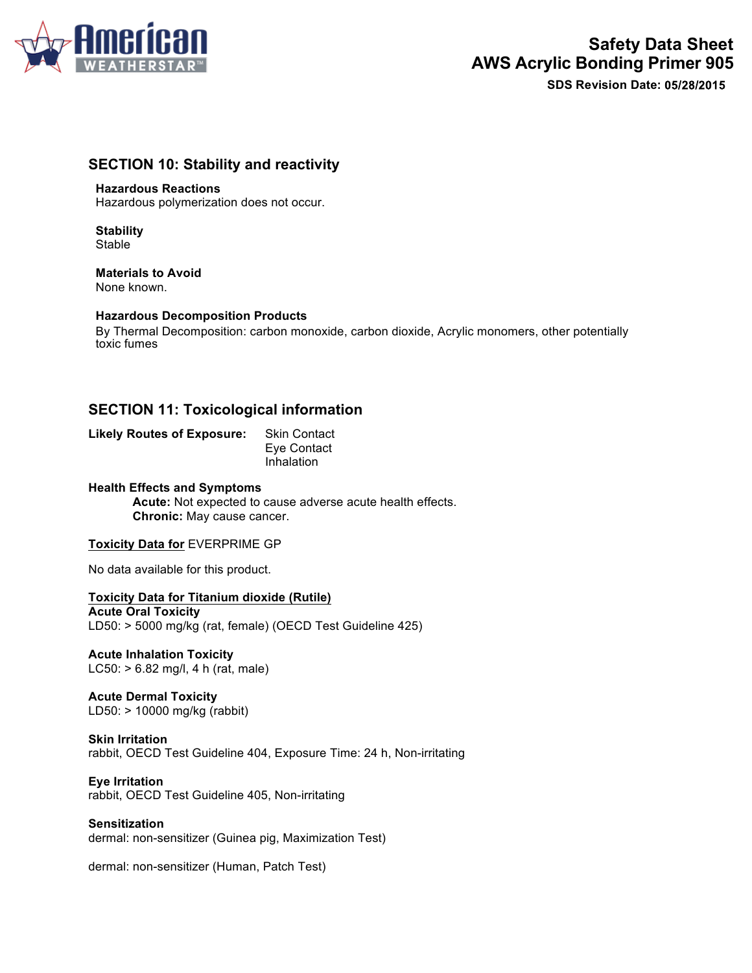

# **SECTION 10: Stability and reactivity**

#### **Hazardous Reactions**

Hazardous polymerization does not occur.

**Stability** Stable

**Materials to Avoid** None known.

#### **Hazardous Decomposition Products**

By Thermal Decomposition: carbon monoxide, carbon dioxide, Acrylic monomers, other potentially toxic fumes

# **SECTION 11: Toxicological information**

**Likely Routes of Exposure:** Skin Contact Eye Contact Inhalation

### **Health Effects and Symptoms**

**Acute:** Not expected to cause adverse acute health effects. **Chronic:** May cause cancer.

#### **Toxicity Data for** EVERPRIME GP

No data available for this product.

**Toxicity Data for Titanium dioxide (Rutile) Acute Oral Toxicity** LD50: > 5000 mg/kg (rat, female) (OECD Test Guideline 425)

**Acute Inhalation Toxicity** LC50: > 6.82 mg/l, 4 h (rat, male)

**Acute Dermal Toxicity** LD50: > 10000 mg/kg (rabbit)

#### **Skin Irritation** rabbit, OECD Test Guideline 404, Exposure Time: 24 h, Non-irritating

**Eye Irritation** rabbit, OECD Test Guideline 405, Non-irritating

**Sensitization** dermal: non-sensitizer (Guinea pig, Maximization Test)

dermal: non-sensitizer (Human, Patch Test)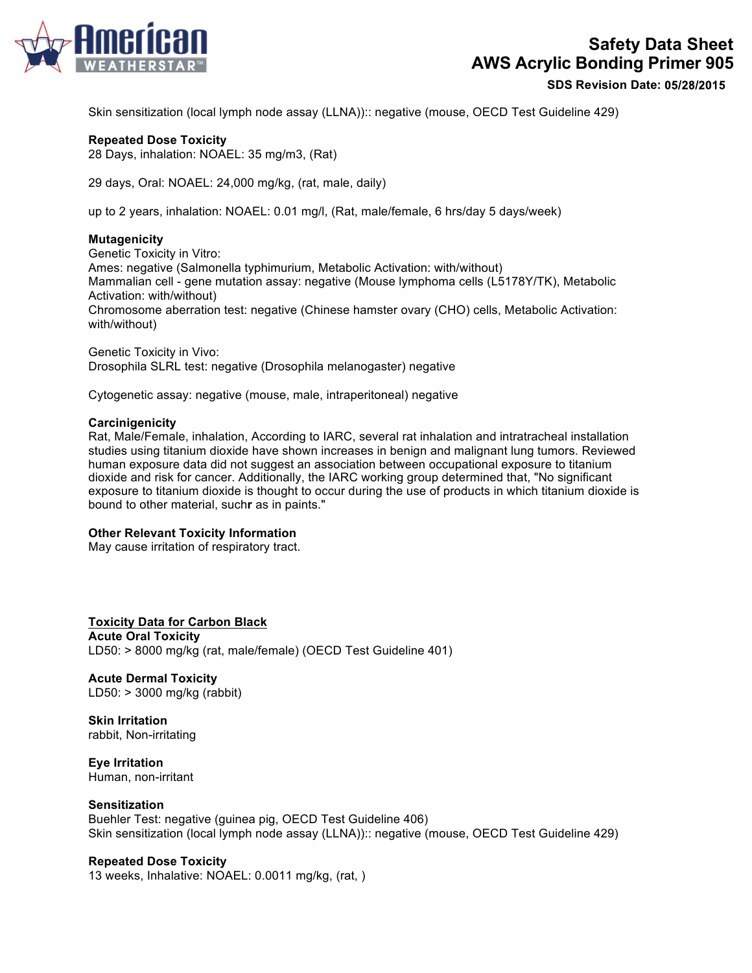

**SDS Revision Date:**

Skin sensitization (local lymph node assay (LLNA)):: negative (mouse, OECD Test Guideline 429)

#### **Repeated Dose Toxicity**

28 Days, inhalation: NOAEL: 35 mg/m3, (Rat)

29 days, Oral: NOAEL: 24,000 mg/kg, (rat, male, daily)

up to 2 years, inhalation: NOAEL: 0.01 mg/l, (Rat, male/female, 6 hrs/day 5 days/week)

#### **Mutagenicity**

Genetic Toxicity in Vitro: Ames: negative (Salmonella typhimurium, Metabolic Activation: with/without) Mammalian cell - gene mutation assay: negative (Mouse lymphoma cells (L5178Y/TK), Metabolic Activation: with/without) Chromosome aberration test: negative (Chinese hamster ovary (CHO) cells, Metabolic Activation: with/without)

Genetic Toxicity in Vivo: Drosophila SLRL test: negative (Drosophila melanogaster) negative

Cytogenetic assay: negative (mouse, male, intraperitoneal) negative

#### **Carcinigenicity**

Rat, Male/Female, inhalation, According to IARC, several rat inhalation and intratracheal installation studies using titanium dioxide have shown increases in benign and malignant lung tumors. Reviewed human exposure data did not suggest an association between occupational exposure to titanium dioxide and risk for cancer. Additionally, the IARC working group determined that, "No significant exposure to titanium dioxide is thought to occur during the use of products in which titanium dioxide is bound to other material, such**r** as in paints."

#### **Other Relevant Toxicity Information**

May cause irritation of respiratory tract.

#### **Toxicity Data for Carbon Black**

**Acute Oral Toxicity**  LD50: > 8000 mg/kg (rat, male/female) (OECD Test Guideline 401)

# **Acute Dermal Toxicity**

LD50: > 3000 mg/kg (rabbit)

**Skin Irritation**  rabbit, Non-irritating

**Eye Irritation**  Human, non-irritant

#### **Sensitization**

Buehler Test: negative (guinea pig, OECD Test Guideline 406) Skin sensitization (local lymph node assay (LLNA)):: negative (mouse, OECD Test Guideline 429)

#### **Repeated Dose Toxicity**

13 weeks, Inhalative: NOAEL: 0.0011 mg/kg, (rat, )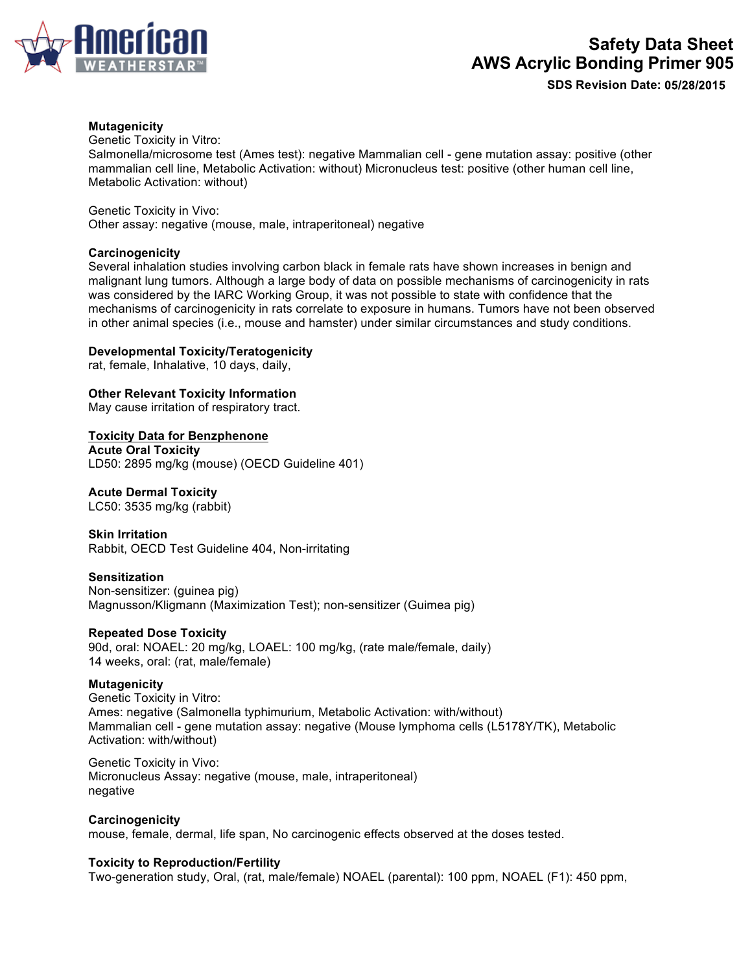

#### **Mutagenicity**

Genetic Toxicity in Vitro:

Salmonella/microsome test (Ames test): negative Mammalian cell - gene mutation assay: positive (other mammalian cell line, Metabolic Activation: without) Micronucleus test: positive (other human cell line, Metabolic Activation: without)

Genetic Toxicity in Vivo: Other assay: negative (mouse, male, intraperitoneal) negative

#### **Carcinogenicity**

Several inhalation studies involving carbon black in female rats have shown increases in benign and malignant lung tumors. Although a large body of data on possible mechanisms of carcinogenicity in rats was considered by the IARC Working Group, it was not possible to state with confidence that the mechanisms of carcinogenicity in rats correlate to exposure in humans. Tumors have not been observed in other animal species (i.e., mouse and hamster) under similar circumstances and study conditions.

#### **Developmental Toxicity/Teratogenicity**

rat, female, Inhalative, 10 days, daily,

**Other Relevant Toxicity Information**

May cause irritation of respiratory tract.

**Toxicity Data for Benzphenone**

**Acute Oral Toxicity** LD50: 2895 mg/kg (mouse) (OECD Guideline 401)

#### **Acute Dermal Toxicity**

LC50: 3535 mg/kg (rabbit)

**Skin Irritation** Rabbit, OECD Test Guideline 404, Non-irritating

#### **Sensitization**

Non-sensitizer: (guinea pig) Magnusson/Kligmann (Maximization Test); non-sensitizer (Guimea pig)

#### **Repeated Dose Toxicity**

90d, oral: NOAEL: 20 mg/kg, LOAEL: 100 mg/kg, (rate male/female, daily) 14 weeks, oral: (rat, male/female)

#### **Mutagenicity**

Genetic Toxicity in Vitro: Ames: negative (Salmonella typhimurium, Metabolic Activation: with/without) Mammalian cell - gene mutation assay: negative (Mouse lymphoma cells (L5178Y/TK), Metabolic Activation: with/without)

Genetic Toxicity in Vivo: Micronucleus Assay: negative (mouse, male, intraperitoneal) negative

#### **Carcinogenicity**

mouse, female, dermal, life span, No carcinogenic effects observed at the doses tested.

#### **Toxicity to Reproduction/Fertility**

Two-generation study, Oral, (rat, male/female) NOAEL (parental): 100 ppm, NOAEL (F1): 450 ppm,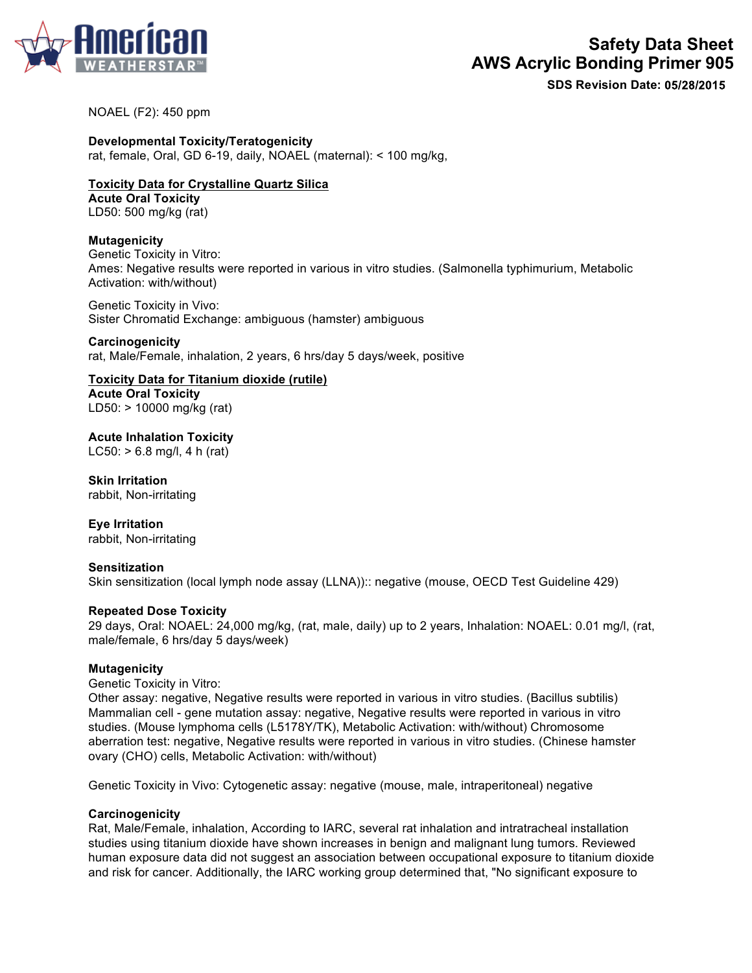

**SDS Revision Date:**

#### NOAEL (F2): 450 ppm

**Developmental Toxicity/Teratogenicity**

rat, female, Oral, GD 6-19, daily, NOAEL (maternal): < 100 mg/kg,

# **Toxicity Data for Crystalline Quartz Silica Acute Oral Toxicity**

LD50: 500 mg/kg (rat)

### **Mutagenicity**

Genetic Toxicity in Vitro: Ames: Negative results were reported in various in vitro studies. (Salmonella typhimurium, Metabolic Activation: with/without)

Genetic Toxicity in Vivo: Sister Chromatid Exchange: ambiguous (hamster) ambiguous

**Carcinogenicity** rat, Male/Female, inhalation, 2 years, 6 hrs/day 5 days/week, positive

**Toxicity Data for Titanium dioxide (rutile) Acute Oral Toxicity**  LD50: > 10000 mg/kg (rat)

**Acute Inhalation Toxicity**  LC50: > 6.8 mg/l, 4 h (rat)

**Skin Irritation**  rabbit, Non-irritating

**Eye Irritation**  rabbit, Non-irritating

### **Sensitization**

Skin sensitization (local lymph node assay (LLNA)):: negative (mouse, OECD Test Guideline 429)

#### **Repeated Dose Toxicity**

29 days, Oral: NOAEL: 24,000 mg/kg, (rat, male, daily) up to 2 years, Inhalation: NOAEL: 0.01 mg/l, (rat, male/female, 6 hrs/day 5 days/week)

#### **Mutagenicity**

Genetic Toxicity in Vitro:

Other assay: negative, Negative results were reported in various in vitro studies. (Bacillus subtilis) Mammalian cell - gene mutation assay: negative, Negative results were reported in various in vitro studies. (Mouse lymphoma cells (L5178Y/TK), Metabolic Activation: with/without) Chromosome aberration test: negative, Negative results were reported in various in vitro studies. (Chinese hamster ovary (CHO) cells, Metabolic Activation: with/without)

Genetic Toxicity in Vivo: Cytogenetic assay: negative (mouse, male, intraperitoneal) negative

#### **Carcinogenicity**

Rat, Male/Female, inhalation, According to IARC, several rat inhalation and intratracheal installation studies using titanium dioxide have shown increases in benign and malignant lung tumors. Reviewed human exposure data did not suggest an association between occupational exposure to titanium dioxide and risk for cancer. Additionally, the IARC working group determined that, "No significant exposure to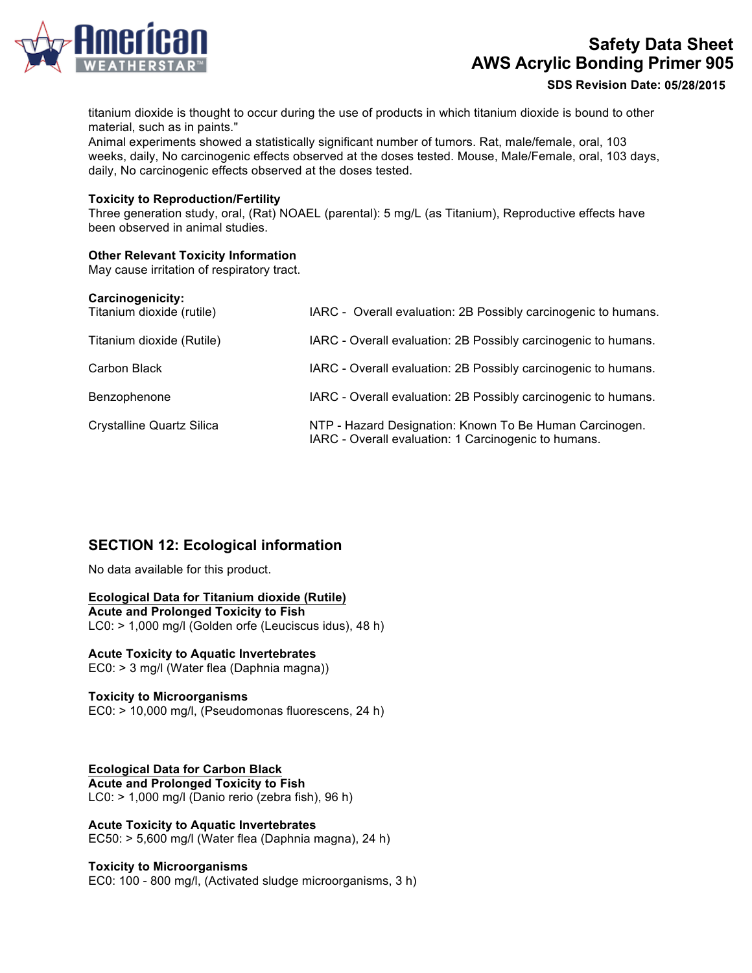

**SDS Revision Date:**

titanium dioxide is thought to occur during the use of products in which titanium dioxide is bound to other material, such as in paints."

Animal experiments showed a statistically significant number of tumors. Rat, male/female, oral, 103 weeks, daily, No carcinogenic effects observed at the doses tested. Mouse, Male/Female, oral, 103 days, daily, No carcinogenic effects observed at the doses tested.

#### **Toxicity to Reproduction/Fertility**

Three generation study, oral, (Rat) NOAEL (parental): 5 mg/L (as Titanium), Reproductive effects have been observed in animal studies.

#### **Other Relevant Toxicity Information**

May cause irritation of respiratory tract.

| Carcinogenicity:<br>Titanium dioxide (rutile) | IARC - Overall evaluation: 2B Possibly carcinogenic to humans.                                                  |
|-----------------------------------------------|-----------------------------------------------------------------------------------------------------------------|
| Titanium dioxide (Rutile)                     | IARC - Overall evaluation: 2B Possibly carcinogenic to humans.                                                  |
| Carbon Black                                  | IARC - Overall evaluation: 2B Possibly carcinogenic to humans.                                                  |
| Benzophenone                                  | IARC - Overall evaluation: 2B Possibly carcinogenic to humans.                                                  |
| <b>Crystalline Quartz Silica</b>              | NTP - Hazard Designation: Known To Be Human Carcinogen.<br>IARC - Overall evaluation: 1 Carcinogenic to humans. |

# **SECTION 12: Ecological information**

No data available for this product.

**Ecological Data for Titanium dioxide (Rutile) Acute and Prolonged Toxicity to Fish** LC0: > 1,000 mg/l (Golden orfe (Leuciscus idus), 48 h)

# **Acute Toxicity to Aquatic Invertebrates**

EC0: > 3 mg/l (Water flea (Daphnia magna))

#### **Toxicity to Microorganisms**

EC0: > 10,000 mg/l, (Pseudomonas fluorescens, 24 h)

**Ecological Data for Carbon Black Acute and Prolonged Toxicity to Fish**  LC0: > 1,000 mg/l (Danio rerio (zebra fish), 96 h)

**Acute Toxicity to Aquatic Invertebrates**  EC50: > 5,600 mg/l (Water flea (Daphnia magna), 24 h)

#### **Toxicity to Microorganisms**

EC0: 100 - 800 mg/l, (Activated sludge microorganisms, 3 h)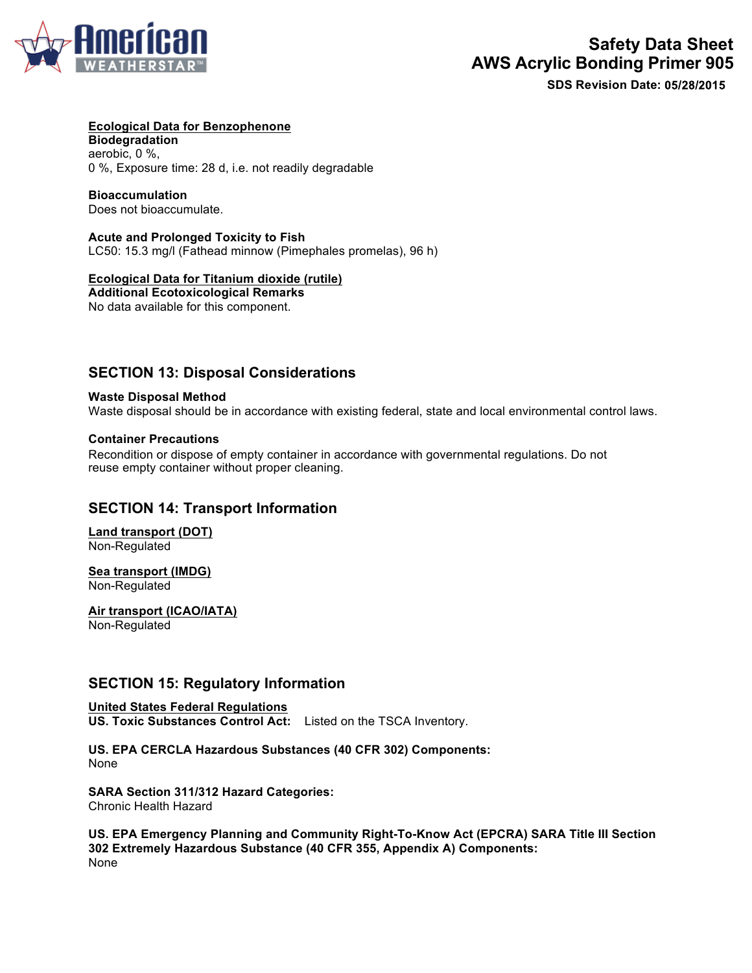

#### **Ecological Data for Benzophenone**

**Biodegradation**  aerobic, 0 %, 0 %, Exposure time: 28 d, i.e. not readily degradable

#### **Bioaccumulation**

Does not bioaccumulate.

**Acute and Prolonged Toxicity to Fish**  LC50: 15.3 mg/l (Fathead minnow (Pimephales promelas), 96 h)

### **Ecological Data for Titanium dioxide (rutile)**

**Additional Ecotoxicological Remarks**  No data available for this component.

# **SECTION 13: Disposal Considerations**

#### **Waste Disposal Method**

Waste disposal should be in accordance with existing federal, state and local environmental control laws.

#### **Container Precautions**

Recondition or dispose of empty container in accordance with governmental regulations. Do not reuse empty container without proper cleaning.

## **SECTION 14: Transport Information**

**Land transport (DOT)**  Non-Regulated

# **Sea transport (IMDG)**

Non-Regulated

**Air transport (ICAO/IATA)**  Non-Regulated

# **SECTION 15: Regulatory Information**

**United States Federal Regulations US. Toxic Substances Control Act:** Listed on the TSCA Inventory.

**US. EPA CERCLA Hazardous Substances (40 CFR 302) Components:** None

**SARA Section 311/312 Hazard Categories:** Chronic Health Hazard

**US. EPA Emergency Planning and Community Right-To-Know Act (EPCRA) SARA Title III Section 302 Extremely Hazardous Substance (40 CFR 355, Appendix A) Components:** None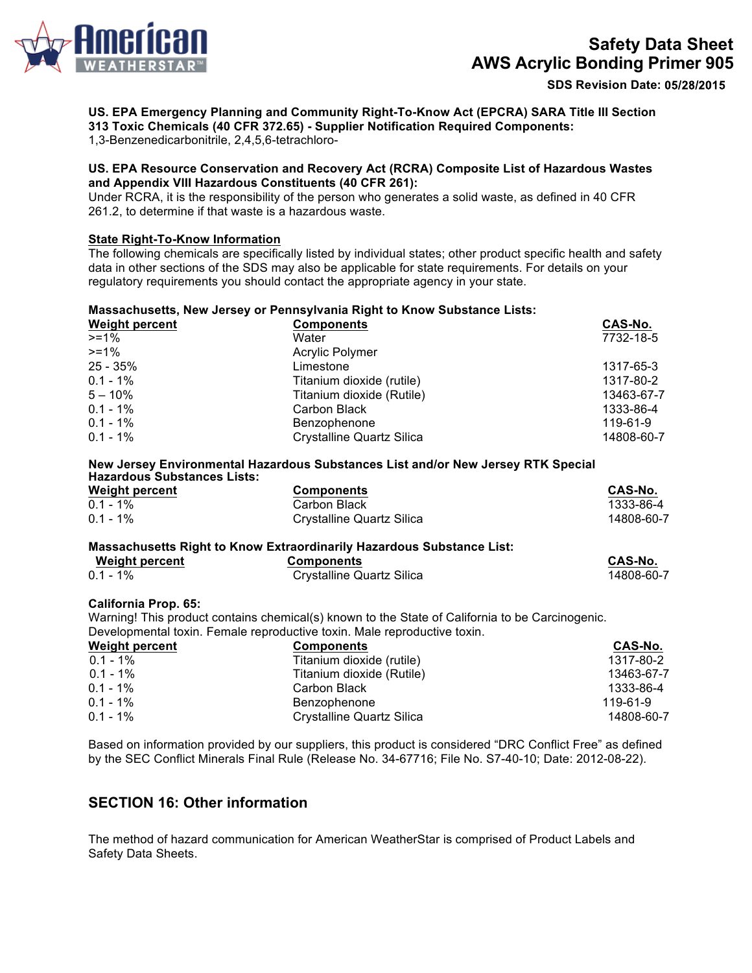

**SDS Revision Date:**

**US. EPA Emergency Planning and Community Right-To-Know Act (EPCRA) SARA Title III Section** 

**313 Toxic Chemicals (40 CFR 372.65) - Supplier Notification Required Components:**

1,3-Benzenedicarbonitrile, 2,4,5,6-tetrachloro-

#### **US. EPA Resource Conservation and Recovery Act (RCRA) Composite List of Hazardous Wastes and Appendix VIII Hazardous Constituents (40 CFR 261):**

Under RCRA, it is the responsibility of the person who generates a solid waste, as defined in 40 CFR 261.2, to determine if that waste is a hazardous waste.

### **State Right-To-Know Information**

The following chemicals are specifically listed by individual states; other product specific health and safety data in other sections of the SDS may also be applicable for state requirements. For details on your regulatory requirements you should contact the appropriate agency in your state.

## **Massachusetts, New Jersey or Pennsylvania Right to Know Substance Lists:**

| <b>Weight percent</b> | <b>Components</b>         | CAS-No.    |
|-----------------------|---------------------------|------------|
| $>= 1\%$              | Water                     | 7732-18-5  |
| $>= 1\%$              | <b>Acrylic Polymer</b>    |            |
| 25 - 35%              | Limestone                 | 1317-65-3  |
| $0.1 - 1\%$           | Titanium dioxide (rutile) | 1317-80-2  |
| $5 - 10\%$            | Titanium dioxide (Rutile) | 13463-67-7 |
| $0.1 - 1\%$           | Carbon Black              | 1333-86-4  |
| $0.1 - 1\%$           | Benzophenone              | 119-61-9   |
| $0.1 - 1\%$           | Crystalline Quartz Silica | 14808-60-7 |

#### **New Jersey Environmental Hazardous Substances List and/or New Jersey RTK Special Hazardous Substances Lists:**

| <b>Weight percent</b> | <b>Components</b>         | CAS-No.    |
|-----------------------|---------------------------|------------|
| $0.1 - 1\%$           | Carbon Black              | 1333-86-4  |
| $0.1 - 1\%$           | Crystalline Quartz Silica | 14808-60-7 |

#### **Massachusetts Right to Know Extraordinarily Hazardous Substance List:**

| <b>Weight percent</b> | <b>Components</b>         | CAS-No.    |
|-----------------------|---------------------------|------------|
| $0.1 - 1\%$           | Crystalline Quartz Silica | 14808-60-7 |

#### **California Prop. 65:**

Warning! This product contains chemical(s) known to the State of California to be Carcinogenic. Developmental toxin. Female reproductive toxin. Male reproductive toxin.

### **Weight percent Components CAS-No.** 0.1 - 1% 1317-80-2<br>1317-80-2 1317-80-2 Titanium dioxide (Rutile) 1318-80-2<br>13463-67-7 Titanium dioxide (Rutile) Titanium dioxide (Rutile) 13463-67-7 0.1 - 1% 1333-86-4<br>
0.1 - 1% 1333-86-4<br>
0.1 - 1% 119-61-9 Benzophenone 119-61-9 0.1 - 1% Crystalline Quartz Silica 14808-60-7

Based on information provided by our suppliers, this product is considered "DRC Conflict Free" as defined by the SEC Conflict Minerals Final Rule (Release No. 34-67716; File No. S7-40-10; Date: 2012-08-22).

# **SECTION 16: Other information**

The method of hazard communication for American WeatherStar is comprised of Product Labels and Safety Data Sheets.